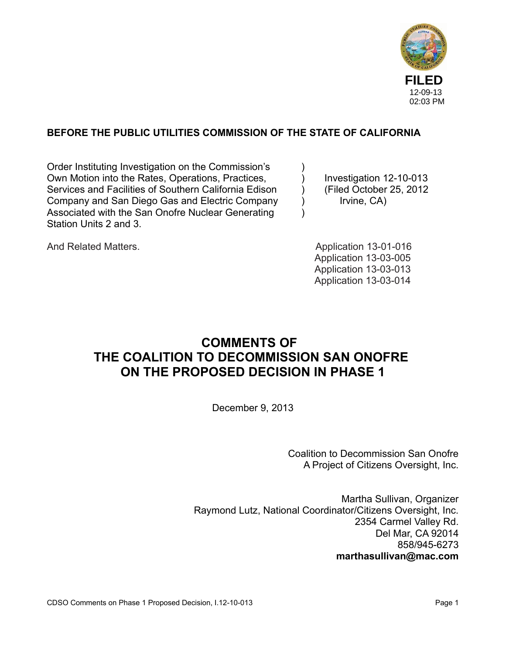

# **BEFORE THE PUBLIC UTILITIES COMMISSION OF THE STATE OF CALIFORNIA**

Order Instituting Investigation on the Commission's ) Own Motion into the Rates, Operations, Practices,  $\qquad \qquad$  Investigation 12-10-013 Services and Facilities of Southern California Edison (Filed October 25, 2012) Company and San Diego Gas and Electric Company (a) Irvine, CA Associated with the San Onofre Nuclear Generating ) Station Units 2 and 3.

And Related Matters. And Related Matters. Application 13-03-005 Application 13-03-013 Application 13-03-014

# **COMMENTS OF THE COALITION TO DECOMMISSION SAN ONOFRE ON THE PROPOSED DECISION IN PHASE 1**

December 9, 2013

Coalition to Decommission San Onofre A Project of Citizens Oversight, Inc.

Martha Sullivan, Organizer Raymond Lutz, National Coordinator/Citizens Oversight, Inc. 2354 Carmel Valley Rd. Del Mar, CA 92014 858/945-6273 **marthasullivan@mac.com**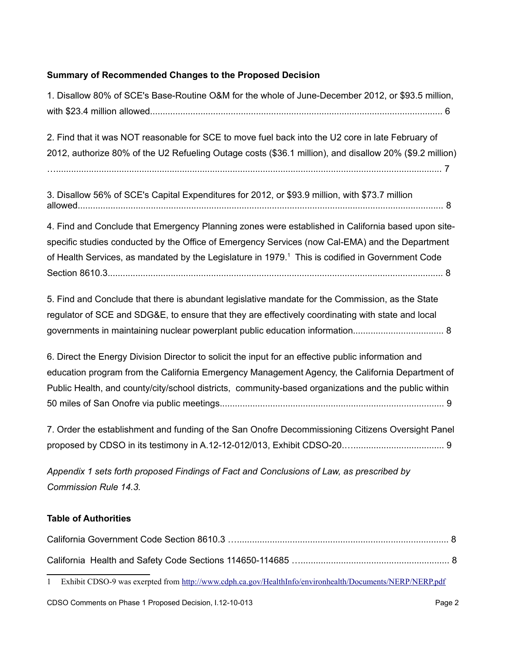# **Summary of Recommended Changes to the Proposed Decision**

| 1. Disallow 80% of SCE's Base-Routine O&M for the whole of June-December 2012, or \$93.5 million,                                                                                                                                                                                                                     |
|-----------------------------------------------------------------------------------------------------------------------------------------------------------------------------------------------------------------------------------------------------------------------------------------------------------------------|
| 2. Find that it was NOT reasonable for SCE to move fuel back into the U2 core in late February of<br>2012, authorize 80% of the U2 Refueling Outage costs (\$36.1 million), and disallow 20% (\$9.2 million)                                                                                                          |
| 3. Disallow 56% of SCE's Capital Expenditures for 2012, or \$93.9 million, with \$73.7 million                                                                                                                                                                                                                        |
| 4. Find and Conclude that Emergency Planning zones were established in California based upon site-<br>specific studies conducted by the Office of Emergency Services (now Cal-EMA) and the Department<br>of Health Services, as mandated by the Legislature in 1979. <sup>1</sup> This is codified in Government Code |
| 5. Find and Conclude that there is abundant legislative mandate for the Commission, as the State<br>regulator of SCE and SDG&E, to ensure that they are effectively coordinating with state and local                                                                                                                 |
| 6. Direct the Energy Division Director to solicit the input for an effective public information and<br>education program from the California Emergency Management Agency, the California Department of<br>Public Health, and county/city/school districts, community-based organizations and the public within        |
| 7. Order the establishment and funding of the San Onofre Decommissioning Citizens Oversight Panel                                                                                                                                                                                                                     |
| Appendix 1 sets forth proposed Findings of Fact and Conclusions of Law, as prescribed by<br>Commission Rule 14.3.                                                                                                                                                                                                     |
| <b>Table of Authorities</b>                                                                                                                                                                                                                                                                                           |

<span id="page-1-0"></span><sup>1</sup> Exhibit CDSO-9 was exerpted from<http://www.cdph.ca.gov/HealthInfo/environhealth/Documents/NERP/NERP.pdf>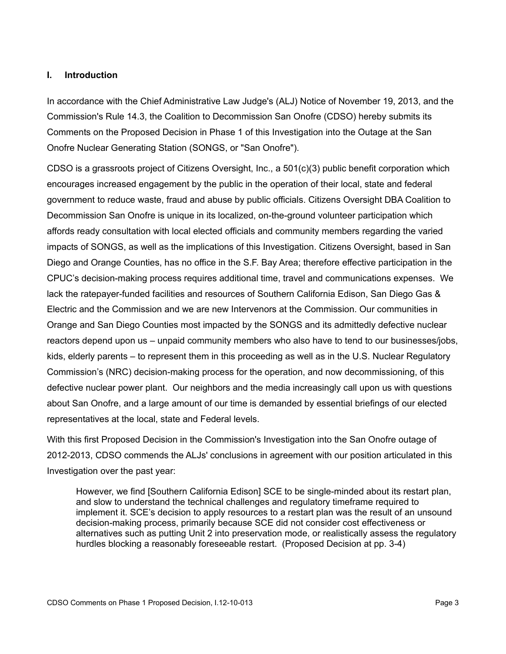#### **I. Introduction**

In accordance with the Chief Administrative Law Judge's (ALJ) Notice of November 19, 2013, and the Commission's Rule 14.3, the Coalition to Decommission San Onofre (CDSO) hereby submits its Comments on the Proposed Decision in Phase 1 of this Investigation into the Outage at the San Onofre Nuclear Generating Station (SONGS, or "San Onofre").

CDSO is a grassroots project of Citizens Oversight, Inc., a 501(c)(3) public benefit corporation which encourages increased engagement by the public in the operation of their local, state and federal government to reduce waste, fraud and abuse by public officials. Citizens Oversight DBA Coalition to Decommission San Onofre is unique in its localized, on-the-ground volunteer participation which affords ready consultation with local elected officials and community members regarding the varied impacts of SONGS, as well as the implications of this Investigation. Citizens Oversight, based in San Diego and Orange Counties, has no office in the S.F. Bay Area; therefore effective participation in the CPUC's decision-making process requires additional time, travel and communications expenses. We lack the ratepayer-funded facilities and resources of Southern California Edison, San Diego Gas & Electric and the Commission and we are new Intervenors at the Commission. Our communities in Orange and San Diego Counties most impacted by the SONGS and its admittedly defective nuclear reactors depend upon us – unpaid community members who also have to tend to our businesses/jobs, kids, elderly parents – to represent them in this proceeding as well as in the U.S. Nuclear Regulatory Commission's (NRC) decision-making process for the operation, and now decommissioning, of this defective nuclear power plant. Our neighbors and the media increasingly call upon us with questions about San Onofre, and a large amount of our time is demanded by essential briefings of our elected representatives at the local, state and Federal levels.

With this first Proposed Decision in the Commission's Investigation into the San Onofre outage of 2012-2013, CDSO commends the ALJs' conclusions in agreement with our position articulated in this Investigation over the past year:

However, we find [Southern California Edison] SCE to be single-minded about its restart plan, and slow to understand the technical challenges and regulatory timeframe required to implement it. SCE's decision to apply resources to a restart plan was the result of an unsound decision-making process, primarily because SCE did not consider cost effectiveness or alternatives such as putting Unit 2 into preservation mode, or realistically assess the regulatory hurdles blocking a reasonably foreseeable restart. (Proposed Decision at pp. 3-4)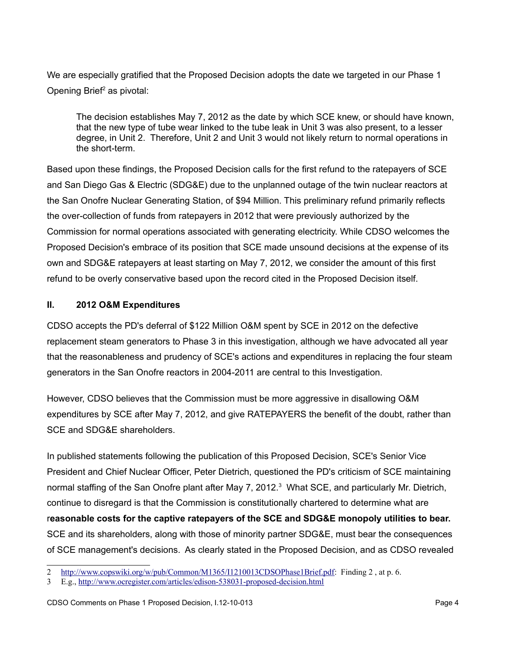We are especially gratified that the Proposed Decision adopts the date we targeted in our Phase 1 Opening Brief<sup>[2](#page-3-0)</sup> as pivotal:

The decision establishes May 7, 2012 as the date by which SCE knew, or should have known, that the new type of tube wear linked to the tube leak in Unit 3 was also present, to a lesser degree, in Unit 2. Therefore, Unit 2 and Unit 3 would not likely return to normal operations in the short-term.

Based upon these findings, the Proposed Decision calls for the first refund to the ratepayers of SCE and San Diego Gas & Electric (SDG&E) due to the unplanned outage of the twin nuclear reactors at the San Onofre Nuclear Generating Station, of \$94 Million. This preliminary refund primarily reflects the over-collection of funds from ratepayers in 2012 that were previously authorized by the Commission for normal operations associated with generating electricity. While CDSO welcomes the Proposed Decision's embrace of its position that SCE made unsound decisions at the expense of its own and SDG&E ratepayers at least starting on May 7, 2012, we consider the amount of this first refund to be overly conservative based upon the record cited in the Proposed Decision itself.

## **II. 2012 O&M Expenditures**

CDSO accepts the PD's deferral of \$122 Million O&M spent by SCE in 2012 on the defective replacement steam generators to Phase 3 in this investigation, although we have advocated all year that the reasonableness and prudency of SCE's actions and expenditures in replacing the four steam generators in the San Onofre reactors in 2004-2011 are central to this Investigation.

However, CDSO believes that the Commission must be more aggressive in disallowing O&M expenditures by SCE after May 7, 2012, and give RATEPAYERS the benefit of the doubt, rather than SCE and SDG&E shareholders.

In published statements following the publication of this Proposed Decision, SCE's Senior Vice President and Chief Nuclear Officer, Peter Dietrich, questioned the PD's criticism of SCE maintaining normal staffing of the San Onofre plant after May 7, 2012.<sup>[3](#page-3-1)</sup> What SCE, and particularly Mr. Dietrich, continue to disregard is that the Commission is constitutionally chartered to determine what are r**easonable costs for the captive ratepayers of the SCE and SDG&E monopoly utilities to bear.**  SCE and its shareholders, along with those of minority partner SDG&E, must bear the consequences of SCE management's decisions. As clearly stated in the Proposed Decision, and as CDSO revealed

<span id="page-3-0"></span>[http://www.copswiki.org/w/pub/Common/M1365/I1210013CDSOPhase1Brief.pdf:](http://www.copswiki.org/w/pub/Common/M1365/I1210013CDSOPhase1Brief.pdf) Finding 2, at p. 6.

<span id="page-3-1"></span><sup>3</sup> E.g.,<http://www.ocregister.com/articles/edison-538031-proposed-decision.html>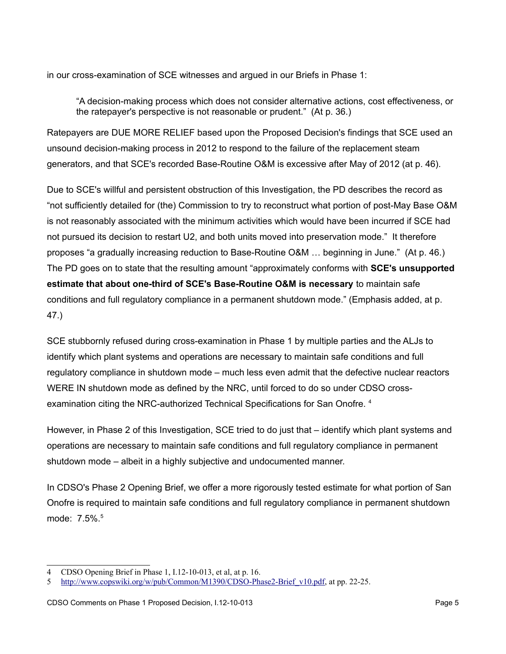in our cross-examination of SCE witnesses and argued in our Briefs in Phase 1:

"A decision-making process which does not consider alternative actions, cost effectiveness, or the ratepayer's perspective is not reasonable or prudent." (At p. 36.)

Ratepayers are DUE MORE RELIEF based upon the Proposed Decision's findings that SCE used an unsound decision-making process in 2012 to respond to the failure of the replacement steam generators, and that SCE's recorded Base-Routine O&M is excessive after May of 2012 (at p. 46).

Due to SCE's willful and persistent obstruction of this Investigation, the PD describes the record as "not sufficiently detailed for (the) Commission to try to reconstruct what portion of post-May Base O&M is not reasonably associated with the minimum activities which would have been incurred if SCE had not pursued its decision to restart U2, and both units moved into preservation mode." It therefore proposes "a gradually increasing reduction to Base-Routine O&M … beginning in June." (At p. 46.) The PD goes on to state that the resulting amount "approximately conforms with **SCE's unsupported estimate that about one-third of SCE's Base-Routine O&M is necessary** to maintain safe conditions and full regulatory compliance in a permanent shutdown mode." (Emphasis added, at p. 47.)

SCE stubbornly refused during cross-examination in Phase 1 by multiple parties and the ALJs to identify which plant systems and operations are necessary to maintain safe conditions and full regulatory compliance in shutdown mode – much less even admit that the defective nuclear reactors WERE IN shutdown mode as defined by the NRC, until forced to do so under CDSO crossexamination citing the NRC-authorized Technical Specifications for San Onofre. [4](#page-4-0)

However, in Phase 2 of this Investigation, SCE tried to do just that – identify which plant systems and operations are necessary to maintain safe conditions and full regulatory compliance in permanent shutdown mode – albeit in a highly subjective and undocumented manner.

In CDSO's Phase 2 Opening Brief, we offer a more rigorously tested estimate for what portion of San Onofre is required to maintain safe conditions and full regulatory compliance in permanent shutdown mode: 7.5%.[5](#page-4-1)

<span id="page-4-0"></span><sup>4</sup> CDSO Opening Brief in Phase 1, I.12-10-013, et al, at p. 16.

<span id="page-4-1"></span><sup>5</sup> [http://www.copswiki.org/w/pub/Common/M1390/CDSO-Phase2-Brief\\_v10.pdf,](http://www.copswiki.org/w/pub/Common/M1390/CDSO-Phase2-Brief_v10.pdf) at pp. 22-25.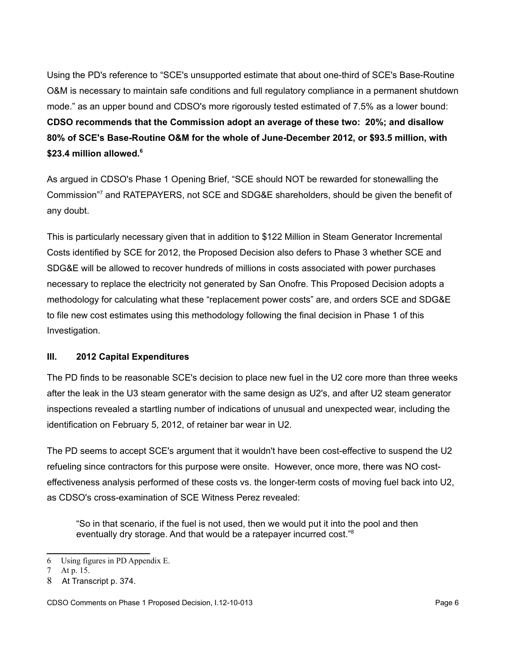Using the PD's reference to "SCE's unsupported estimate that about one-third of SCE's Base-Routine O&M is necessary to maintain safe conditions and full regulatory compliance in a permanent shutdown mode." as an upper bound and CDSO's more rigorously tested estimated of 7.5% as a lower bound: **CDSO recommends that the Commission adopt an average of these two: 20%; and disallow 80% of SCE's Base-Routine O&M for the whole of June-December 2012, or \$93.5 million, with \$23.4 million allowed.[6](#page-5-0)** 

As argued in CDSO's Phase 1 Opening Brief, "SCE should NOT be rewarded for stonewalling the Commission" [7](#page-5-1) and RATEPAYERS, not SCE and SDG&E shareholders, should be given the benefit of any doubt.

This is particularly necessary given that in addition to \$122 Million in Steam Generator Incremental Costs identified by SCE for 2012, the Proposed Decision also defers to Phase 3 whether SCE and SDG&E will be allowed to recover hundreds of millions in costs associated with power purchases necessary to replace the electricity not generated by San Onofre. This Proposed Decision adopts a methodology for calculating what these "replacement power costs" are, and orders SCE and SDG&E to file new cost estimates using this methodology following the final decision in Phase 1 of this Investigation.

## **III. 2012 Capital Expenditures**

The PD finds to be reasonable SCE's decision to place new fuel in the U2 core more than three weeks after the leak in the U3 steam generator with the same design as U2's, and after U2 steam generator inspections revealed a startling number of indications of unusual and unexpected wear, including the identification on February 5, 2012, of retainer bar wear in U2.

The PD seems to accept SCE's argument that it wouldn't have been cost-effective to suspend the U2 refueling since contractors for this purpose were onsite. However, once more, there was NO costeffectiveness analysis performed of these costs vs. the longer-term costs of moving fuel back into U2, as CDSO's cross-examination of SCE Witness Perez revealed:

"So in that scenario, if the fuel is not used, then we would put it into the pool and then eventually dry storage. And that would be a ratepayer incurred cost."<sup>[8](#page-5-2)</sup>

<span id="page-5-0"></span><sup>6</sup> Using figures in PD Appendix E.

<span id="page-5-1"></span><sup>7</sup> At p. 15.

<span id="page-5-2"></span><sup>8</sup> At Transcript p. 374.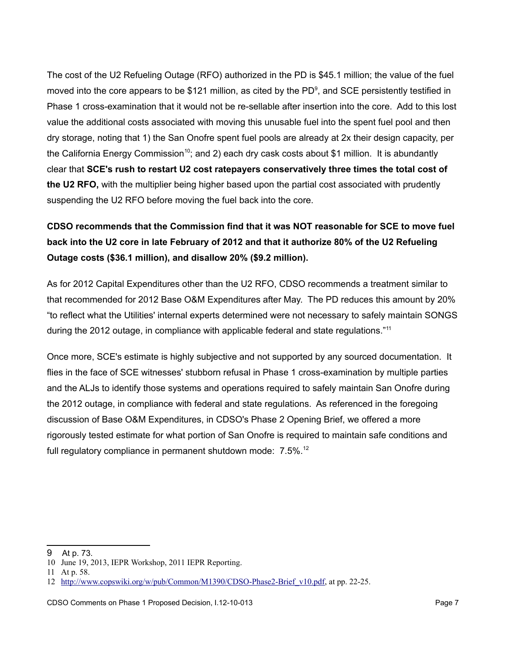The cost of the U2 Refueling Outage (RFO) authorized in the PD is \$45.1 million; the value of the fuel moved into the core appears to be \$121 million, as cited by the PD<sup>[9](#page-6-0)</sup>, and SCE persistently testified in Phase 1 cross-examination that it would not be re-sellable after insertion into the core. Add to this lost value the additional costs associated with moving this unusable fuel into the spent fuel pool and then dry storage, noting that 1) the San Onofre spent fuel pools are already at 2x their design capacity, per the California Energy Commission<sup>[10](#page-6-1)</sup>; and 2) each dry cask costs about \$1 million. It is abundantly clear that **SCE's rush to restart U2 cost ratepayers conservatively three times the total cost of the U2 RFO,** with the multiplier being higher based upon the partial cost associated with prudently suspending the U2 RFO before moving the fuel back into the core.

# **CDSO recommends that the Commission find that it was NOT reasonable for SCE to move fuel back into the U2 core in late February of 2012 and that it authorize 80% of the U2 Refueling Outage costs (\$36.1 million), and disallow 20% (\$9.2 million).**

As for 2012 Capital Expenditures other than the U2 RFO, CDSO recommends a treatment similar to that recommended for 2012 Base O&M Expenditures after May. The PD reduces this amount by 20% "to reflect what the Utilities' internal experts determined were not necessary to safely maintain SONGS during the 2012 outage, in compliance with applicable federal and state regulations."[11](#page-6-2)

Once more, SCE's estimate is highly subjective and not supported by any sourced documentation. It flies in the face of SCE witnesses' stubborn refusal in Phase 1 cross-examination by multiple parties and the ALJs to identify those systems and operations required to safely maintain San Onofre during the 2012 outage, in compliance with federal and state regulations. As referenced in the foregoing discussion of Base O&M Expenditures, in CDSO's Phase 2 Opening Brief, we offered a more rigorously tested estimate for what portion of San Onofre is required to maintain safe conditions and full regulatory compliance in permanent shutdown mode:  $7.5\%$ <sup>[12](#page-6-3)</sup>

<span id="page-6-0"></span><sup>9</sup> At p. 73.

<span id="page-6-1"></span><sup>10</sup> June 19, 2013, IEPR Workshop, 2011 IEPR Reporting.

<span id="page-6-2"></span><sup>11</sup> At p. 58.

<span id="page-6-3"></span><sup>12</sup> [http://www.copswiki.org/w/pub/Common/M1390/CDSO-Phase2-Brief\\_v10.pdf,](http://www.copswiki.org/w/pub/Common/M1390/CDSO-Phase2-Brief_v10.pdf) at pp. 22-25.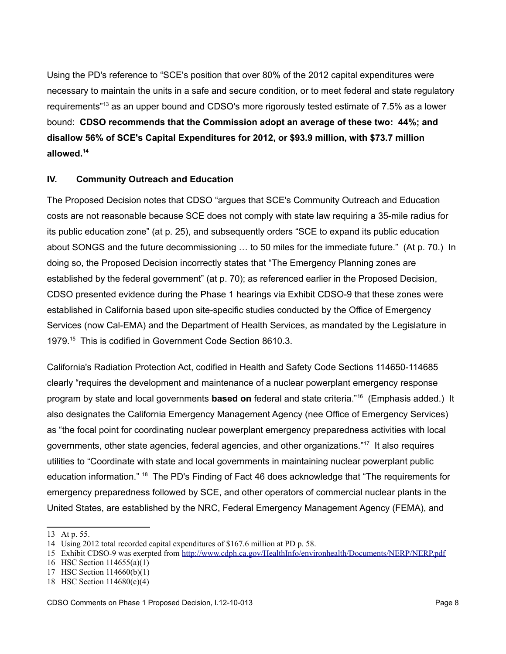Using the PD's reference to "SCE's position that over 80% of the 2012 capital expenditures were necessary to maintain the units in a safe and secure condition, or to meet federal and state regulatory requirements<sup>"[13](#page-7-0)</sup> as an upper bound and CDSO's more rigorously tested estimate of 7.5% as a lower bound: **CDSO recommends that the Commission adopt an average of these two: 44%; and disallow 56% of SCE's Capital Expenditures for 2012, or \$93.9 million, with \$73.7 million allowed.[14](#page-7-1)** 

### **IV. Community Outreach and Education**

The Proposed Decision notes that CDSO "argues that SCE's Community Outreach and Education costs are not reasonable because SCE does not comply with state law requiring a 35-mile radius for its public education zone" (at p. 25), and subsequently orders "SCE to expand its public education about SONGS and the future decommissioning … to 50 miles for the immediate future." (At p. 70.) In doing so, the Proposed Decision incorrectly states that "The Emergency Planning zones are established by the federal government" (at p. 70); as referenced earlier in the Proposed Decision, CDSO presented evidence during the Phase 1 hearings via Exhibit CDSO-9 that these zones were established in California based upon site-specific studies conducted by the Office of Emergency Services (now Cal-EMA) and the Department of Health Services, as mandated by the Legislature in 1979.[15](#page-7-2) This is codified in Government Code Section 8610.3.

California's Radiation Protection Act, codified in Health and Safety Code Sections 114650-114685 clearly "requires the development and maintenance of a nuclear powerplant emergency response program by state and local governments **based on** federal and state criteria."[16](#page-7-3) (Emphasis added.) It also designates the California Emergency Management Agency (nee Office of Emergency Services) as "the focal point for coordinating nuclear powerplant emergency preparedness activities with local governments, other state agencies, federal agencies, and other organizations."[17](#page-7-4) It also requires utilities to "Coordinate with state and local governments in maintaining nuclear powerplant public education information." <sup>[18](#page-7-5)</sup> The PD's Finding of Fact 46 does acknowledge that "The requirements for emergency preparedness followed by SCE, and other operators of commercial nuclear plants in the United States, are established by the NRC, Federal Emergency Management Agency (FEMA), and

<span id="page-7-0"></span><sup>13</sup> At p. 55.

<span id="page-7-1"></span><sup>14</sup> Using 2012 total recorded capital expenditures of \$167.6 million at PD p. 58.

<span id="page-7-2"></span><sup>15</sup> Exhibit CDSO-9 was exerpted from<http://www.cdph.ca.gov/HealthInfo/environhealth/Documents/NERP/NERP.pdf>

<span id="page-7-3"></span><sup>16</sup> HSC Section 114655(a)(1)

<span id="page-7-4"></span><sup>17</sup> HSC Section 114660(b)(1)

<span id="page-7-5"></span><sup>18</sup> HSC Section 114680(c)(4)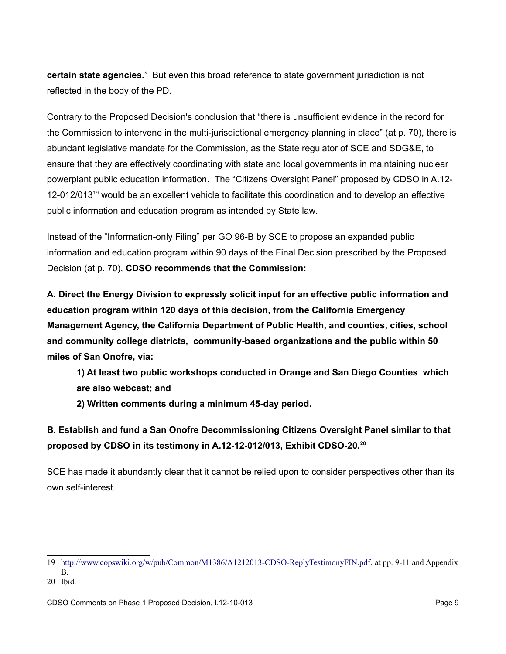**certain state agencies.**" But even this broad reference to state government jurisdiction is not reflected in the body of the PD.

Contrary to the Proposed Decision's conclusion that "there is unsufficient evidence in the record for the Commission to intervene in the multi-jurisdictional emergency planning in place" (at p. 70), there is abundant legislative mandate for the Commission, as the State regulator of SCE and SDG&E, to ensure that they are effectively coordinating with state and local governments in maintaining nuclear powerplant public education information. The "Citizens Oversight Panel" proposed by CDSO in A.12- 12-012/013<sup>[19](#page-8-0)</sup> would be an excellent vehicle to facilitate this coordination and to develop an effective public information and education program as intended by State law.

Instead of the "Information-only Filing" per GO 96-B by SCE to propose an expanded public information and education program within 90 days of the Final Decision prescribed by the Proposed Decision (at p. 70), **CDSO recommends that the Commission:**

**A. Direct the Energy Division to expressly solicit input for an effective public information and education program within 120 days of this decision, from the California Emergency Management Agency, the California Department of Public Health, and counties, cities, school and community college districts, community-based organizations and the public within 50 miles of San Onofre, via:** 

**1) At least two public workshops conducted in Orange and San Diego Counties which are also webcast; and**

**2) Written comments during a minimum 45-day period.**

**B. Establish and fund a San Onofre Decommissioning Citizens Oversight Panel similar to that proposed by CDSO in its testimony in A.12-12-012/013, Exhibit CDSO-20.[20](#page-8-1)**

SCE has made it abundantly clear that it cannot be relied upon to consider perspectives other than its own self-interest.

<span id="page-8-0"></span><sup>19</sup> [http://www.copswiki.org/w/pub/Common/M1386/A1212013-CDSO-ReplyTestimonyFIN.pdf,](http://www.copswiki.org/w/pub/Common/M1386/A1212013-CDSO-ReplyTestimonyFIN.pdf) at pp. 9-11 and Appendix B.

<span id="page-8-1"></span><sup>20</sup> Ibid.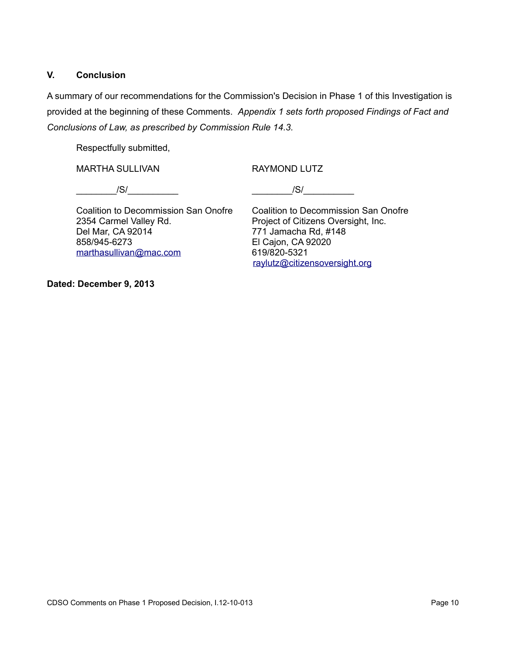### **V. Conclusion**

A summary of our recommendations for the Commission's Decision in Phase 1 of this Investigation is provided at the beginning of these Comments. *Appendix 1 sets forth proposed Findings of Fact and Conclusions of Law, as prescribed by Commission Rule 14.3.* 

Respectfully submitted,

MARTHA SULLIVAN RAYMOND LUTZ

 $/$ S/ $/$ 

Coalition to Decommission San Onofre Coalition to Decommission San Onofre 2354 Carmel Valley Rd. Project of Citizens Oversight, Inc. Del Mar, CA 92014 771 Jamacha Rd, #148 858/945-6273 El Cajon, CA 92020 [marthasullivan@mac.com](mailto:marthasullivan@mac.com) 619/820-5321

[raylutz@citizensoversight.org](mailto:raylutz@citizensoversight.org)

**Dated: December 9, 2013**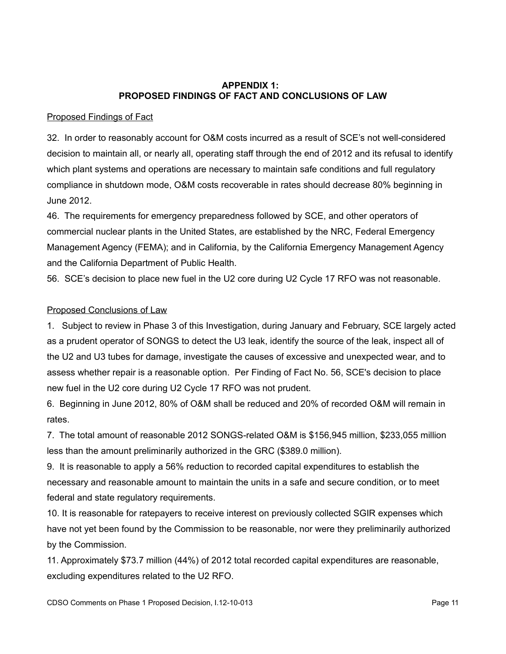### **APPENDIX 1: PROPOSED FINDINGS OF FACT AND CONCLUSIONS OF LAW**

### Proposed Findings of Fact

32. In order to reasonably account for O&M costs incurred as a result of SCE's not well-considered decision to maintain all, or nearly all, operating staff through the end of 2012 and its refusal to identify which plant systems and operations are necessary to maintain safe conditions and full regulatory compliance in shutdown mode, O&M costs recoverable in rates should decrease 80% beginning in June 2012.

46. The requirements for emergency preparedness followed by SCE, and other operators of commercial nuclear plants in the United States, are established by the NRC, Federal Emergency Management Agency (FEMA); and in California, by the California Emergency Management Agency and the California Department of Public Health.

56. SCE's decision to place new fuel in the U2 core during U2 Cycle 17 RFO was not reasonable.

## Proposed Conclusions of Law

1. Subject to review in Phase 3 of this Investigation, during January and February, SCE largely acted as a prudent operator of SONGS to detect the U3 leak, identify the source of the leak, inspect all of the U2 and U3 tubes for damage, investigate the causes of excessive and unexpected wear, and to assess whether repair is a reasonable option. Per Finding of Fact No. 56, SCE's decision to place new fuel in the U2 core during U2 Cycle 17 RFO was not prudent.

6. Beginning in June 2012, 80% of O&M shall be reduced and 20% of recorded O&M will remain in rates.

7. The total amount of reasonable 2012 SONGS-related O&M is \$156,945 million, \$233,055 million less than the amount preliminarily authorized in the GRC (\$389.0 million).

9. It is reasonable to apply a 56% reduction to recorded capital expenditures to establish the necessary and reasonable amount to maintain the units in a safe and secure condition, or to meet federal and state regulatory requirements.

10. It is reasonable for ratepayers to receive interest on previously collected SGIR expenses which have not yet been found by the Commission to be reasonable, nor were they preliminarily authorized by the Commission.

11. Approximately \$73.7 million (44%) of 2012 total recorded capital expenditures are reasonable, excluding expenditures related to the U2 RFO.